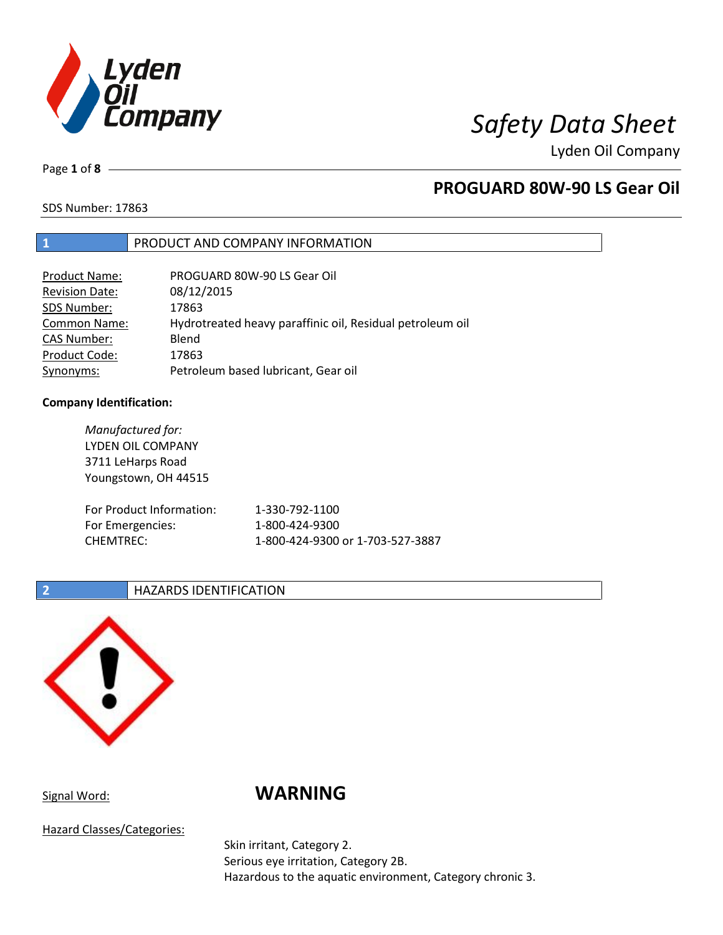

Page **1** of **8**

# **PROGUARD 80W-90 LS Gear Oil**

SDS Number: 17863

### **1** PRODUCT AND COMPANY INFORMATION

| Product Name:         | PROGUARD 80W-90 LS Gear Oil                               |
|-----------------------|-----------------------------------------------------------|
| <b>Revision Date:</b> | 08/12/2015                                                |
| SDS Number:           | 17863                                                     |
| <b>Common Name:</b>   | Hydrotreated heavy paraffinic oil, Residual petroleum oil |
| <b>CAS Number:</b>    | Blend                                                     |
| Product Code:         | 17863                                                     |
| Synonyms:             | Petroleum based lubricant, Gear oil                       |

### **Company Identification:**

| Manufactured for:<br><b>LYDEN OIL COMPANY</b><br>3711 LeHarps Road<br>Youngstown, OH 44515 |                                  |
|--------------------------------------------------------------------------------------------|----------------------------------|
| For Product Information:                                                                   | 1-330-792-1100                   |
| For Emergencies:                                                                           | 1-800-424-9300                   |
| CHEMTREC:                                                                                  | 1-800-424-9300 or 1-703-527-3887 |

### **2 HAZARDS IDENTIFICATION**



# Signal Word: **WARNING**

Hazard Classes/Categories:

Skin irritant, Category 2. Serious eye irritation, Category 2B. Hazardous to the aquatic environment, Category chronic 3.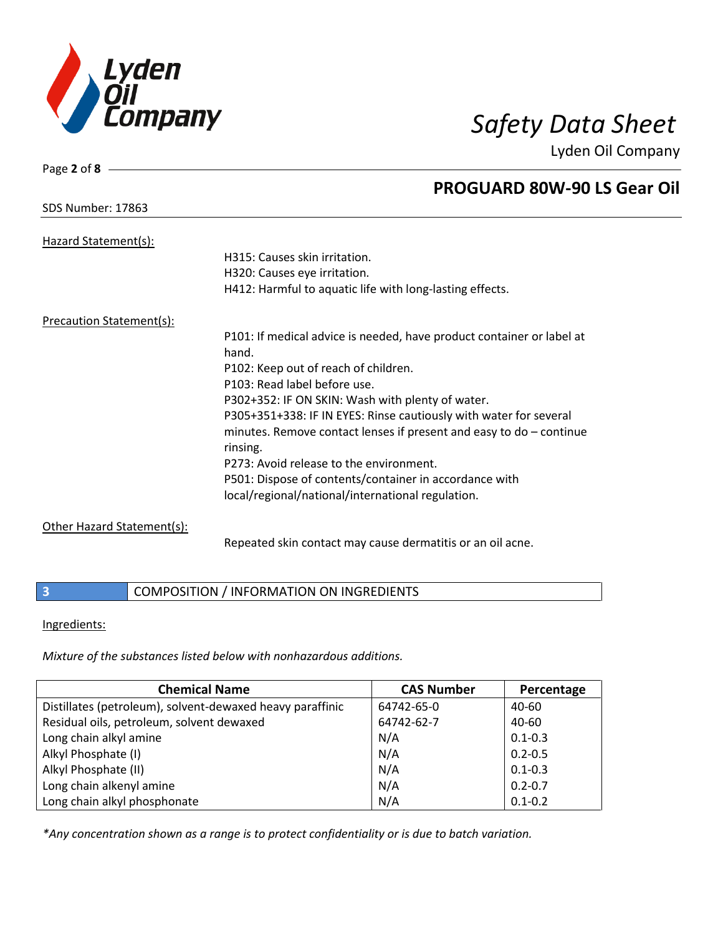

### SDS Number: 17863

Page **2** of **8**

# **PROGUARD 80W-90 LS Gear Oil**

| Hazard Statement(s):            |                                                                                                                                            |
|---------------------------------|--------------------------------------------------------------------------------------------------------------------------------------------|
|                                 | H315: Causes skin irritation.                                                                                                              |
|                                 | H320: Causes eye irritation.                                                                                                               |
|                                 | H412: Harmful to aquatic life with long-lasting effects.                                                                                   |
| <b>Precaution Statement(s):</b> |                                                                                                                                            |
|                                 | P101: If medical advice is needed, have product container or label at<br>hand.                                                             |
|                                 | P102: Keep out of reach of children.                                                                                                       |
|                                 | P103: Read label before use.                                                                                                               |
|                                 | P302+352: IF ON SKIN: Wash with plenty of water.                                                                                           |
|                                 | P305+351+338: IF IN EYES: Rinse cautiously with water for several<br>minutes. Remove contact lenses if present and easy to $do$ – continue |
|                                 | rinsing.                                                                                                                                   |
|                                 | P273: Avoid release to the environment.                                                                                                    |
|                                 | P501: Dispose of contents/container in accordance with                                                                                     |
|                                 | local/regional/national/international regulation.                                                                                          |
| Other Hazard Statement(s):      |                                                                                                                                            |
|                                 | Repeated skin contact may cause dermatitis or an oil acne.                                                                                 |

## **3** COMPOSITION / INFORMATION ON INGREDIENTS

### Ingredients:

*Mixture of the substances listed below with nonhazardous additions.*

| <b>Chemical Name</b>                                      | <b>CAS Number</b> | Percentage  |
|-----------------------------------------------------------|-------------------|-------------|
| Distillates (petroleum), solvent-dewaxed heavy paraffinic | 64742-65-0        | 40-60       |
| Residual oils, petroleum, solvent dewaxed                 | 64742-62-7        | 40-60       |
| Long chain alkyl amine                                    | N/A               | $0.1 - 0.3$ |
| Alkyl Phosphate (I)                                       | N/A               | $0.2 - 0.5$ |
| Alkyl Phosphate (II)                                      | N/A               | $0.1 - 0.3$ |
| Long chain alkenyl amine                                  | N/A               | $0.2 - 0.7$ |
| Long chain alkyl phosphonate                              | N/A               | $0.1 - 0.2$ |

*\*Any concentration shown as a range is to protect confidentiality or is due to batch variation.*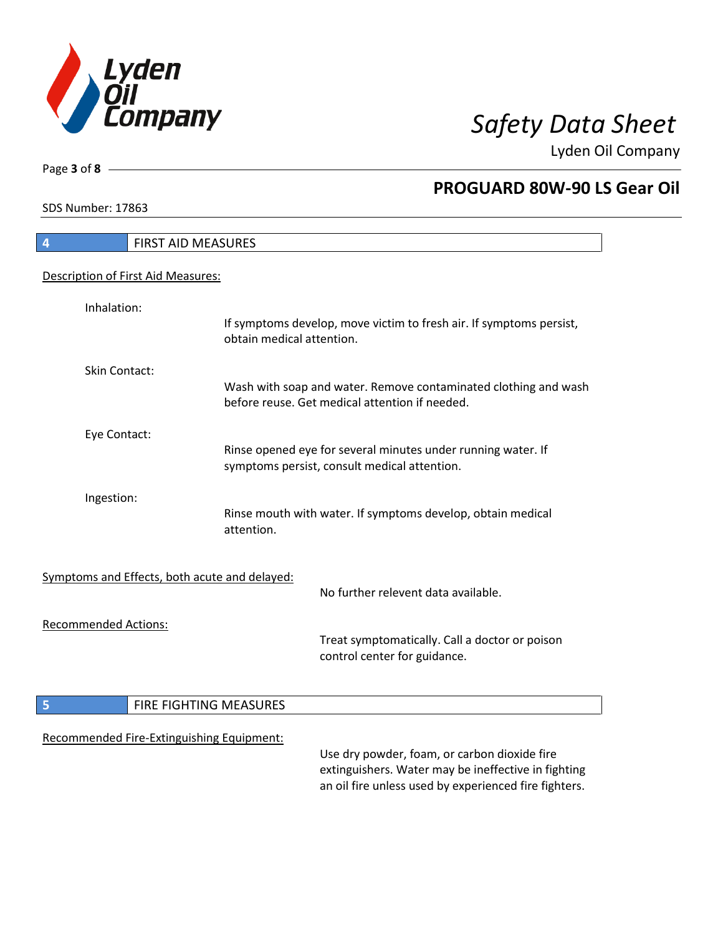

٦

Page **3** of **8**

## **PROGUARD 80W-90 LS Gear Oil**

SDS Number: 17863

| <b>FIRST AID MEASURES</b><br>$\overline{\mathbf{r}}$ |                                                                                                                                                              |
|------------------------------------------------------|--------------------------------------------------------------------------------------------------------------------------------------------------------------|
| Description of First Aid Measures:                   |                                                                                                                                                              |
| Inhalation:                                          | If symptoms develop, move victim to fresh air. If symptoms persist,<br>obtain medical attention.                                                             |
| <b>Skin Contact:</b>                                 | Wash with soap and water. Remove contaminated clothing and wash<br>before reuse. Get medical attention if needed.                                            |
| Eye Contact:                                         | Rinse opened eye for several minutes under running water. If<br>symptoms persist, consult medical attention.                                                 |
| Ingestion:                                           | Rinse mouth with water. If symptoms develop, obtain medical<br>attention.                                                                                    |
| Symptoms and Effects, both acute and delayed:        | No further relevent data available.                                                                                                                          |
| <b>Recommended Actions:</b>                          | Treat symptomatically. Call a doctor or poison<br>control center for guidance.                                                                               |
| 5<br>FIRE FIGHTING MEASURES                          |                                                                                                                                                              |
| Recommended Fire-Extinguishing Equipment:            | Use dry powder, foam, or carbon dioxide fire<br>extinguishers. Water may be ineffective in fighting<br>an oil fire unless used by experienced fire fighters. |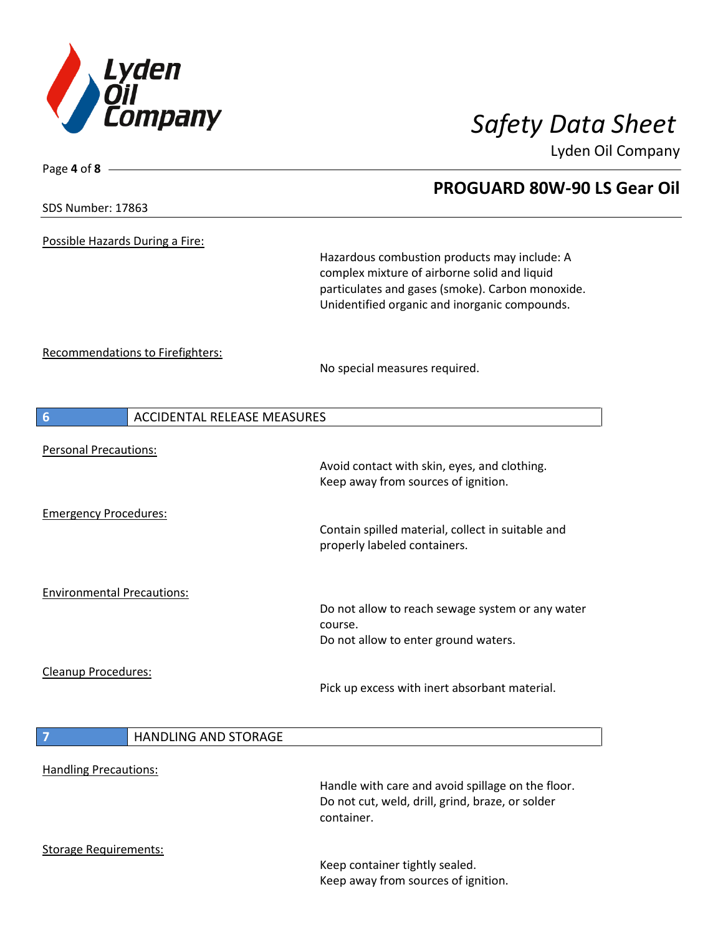

**PROGUARD 80W-90 LS Gear Oil**

Lyden Oil Company

SDS Number: 17863

Page **4** of **8**

Possible Hazards During a Fire:

Hazardous combustion products may include: A complex mixture of airborne solid and liquid particulates and gases (smoke). Carbon monoxide. Unidentified organic and inorganic compounds.

Recommendations to Firefighters:

No special measures required.

| 6                                 | <b>ACCIDENTAL RELEASE MEASURES</b> |                                                                                                                     |
|-----------------------------------|------------------------------------|---------------------------------------------------------------------------------------------------------------------|
| <b>Personal Precautions:</b>      |                                    | Avoid contact with skin, eyes, and clothing.<br>Keep away from sources of ignition.                                 |
|                                   |                                    |                                                                                                                     |
| <b>Emergency Procedures:</b>      |                                    | Contain spilled material, collect in suitable and<br>properly labeled containers.                                   |
| <b>Environmental Precautions:</b> |                                    | Do not allow to reach sewage system or any water<br>course.<br>Do not allow to enter ground waters.                 |
| Cleanup Procedures:               |                                    | Pick up excess with inert absorbant material.                                                                       |
| 7                                 | HANDLING AND STORAGE               |                                                                                                                     |
| <b>Handling Precautions:</b>      |                                    | Handle with care and avoid spillage on the floor.<br>Do not cut, weld, drill, grind, braze, or solder<br>container. |
| <b>Storage Requirements:</b>      |                                    | Keep container tightly sealed.<br>Keep away from sources of ignition.                                               |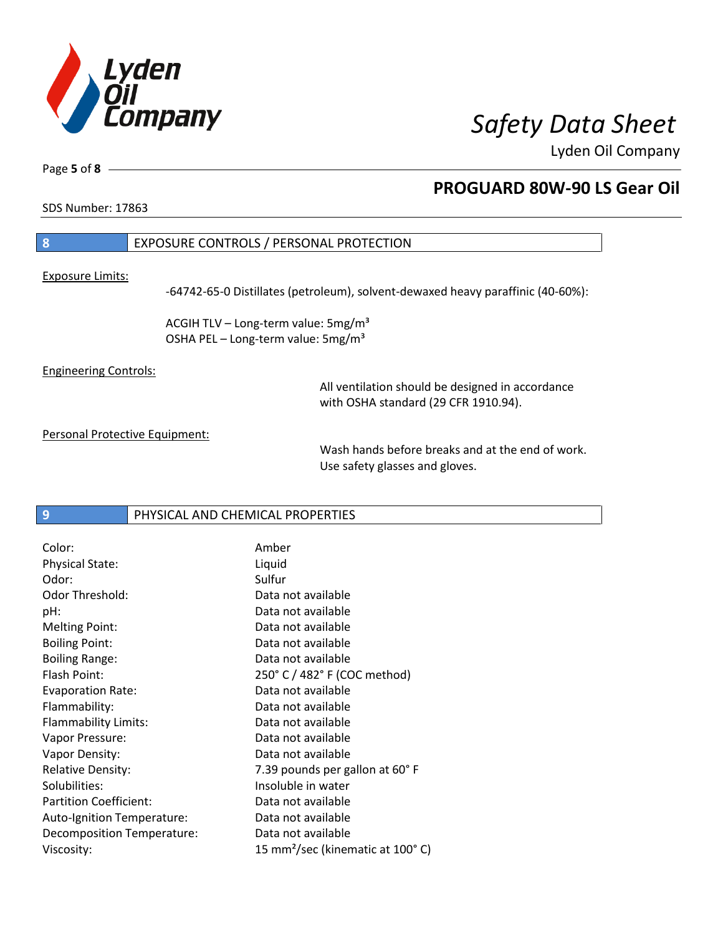

Page **5** of **8**

# **PROGUARD 80W-90 LS Gear Oil**

SDS Number: 17863

## **8** EXPOSURE CONTROLS / PERSONAL PROTECTION

Exposure Limits:

-64742-65-0 Distillates (petroleum), solvent-dewaxed heavy paraffinic (40-60%):

ACGIH TLV – Long-term value:  $5mg/m<sup>3</sup>$ OSHA PEL - Long-term value: 5mg/m<sup>3</sup>

Engineering Controls:

All ventilation should be designed in accordance with OSHA standard (29 CFR 1910.94).

Personal Protective Equipment:

Wash hands before breaks and at the end of work. Use safety glasses and gloves.

**9** PHYSICAL AND CHEMICAL PROPERTIES

| Color:                        | Amber                                        |
|-------------------------------|----------------------------------------------|
| <b>Physical State:</b>        | Liquid                                       |
| Odor:                         | Sulfur                                       |
| <b>Odor Threshold:</b>        | Data not available                           |
| pH:                           | Data not available                           |
| <b>Melting Point:</b>         | Data not available                           |
| <b>Boiling Point:</b>         | Data not available                           |
| <b>Boiling Range:</b>         | Data not available                           |
| Flash Point:                  | 250° C / 482° F (COC method)                 |
| <b>Evaporation Rate:</b>      | Data not available                           |
| Flammability:                 | Data not available                           |
| Flammability Limits:          | Data not available                           |
| Vapor Pressure:               | Data not available                           |
| Vapor Density:                | Data not available                           |
| <b>Relative Density:</b>      | 7.39 pounds per gallon at 60°F               |
| Solubilities:                 | Insoluble in water                           |
| <b>Partition Coefficient:</b> | Data not available                           |
| Auto-Ignition Temperature:    | Data not available                           |
| Decomposition Temperature:    | Data not available                           |
| Viscosity:                    | 15 mm <sup>2</sup> /sec (kinematic at 100°C) |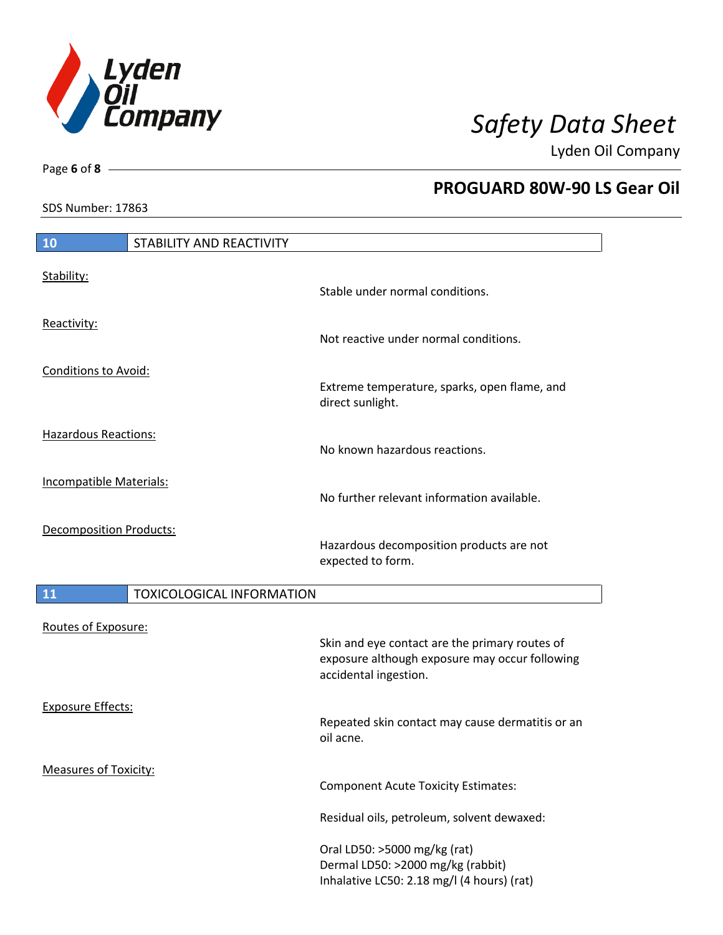

SDS Number: 17863

Page **6** of **8**

## **PROGUARD 80W-90 LS Gear Oil**

| SDS Number: 17863              |                                  |                                                                                                                           |
|--------------------------------|----------------------------------|---------------------------------------------------------------------------------------------------------------------------|
|                                |                                  |                                                                                                                           |
| 10                             | STABILITY AND REACTIVITY         |                                                                                                                           |
| Stability:                     |                                  | Stable under normal conditions.                                                                                           |
| Reactivity:                    |                                  | Not reactive under normal conditions.                                                                                     |
| Conditions to Avoid:           |                                  | Extreme temperature, sparks, open flame, and<br>direct sunlight.                                                          |
| Hazardous Reactions:           |                                  | No known hazardous reactions.                                                                                             |
| <b>Incompatible Materials:</b> |                                  | No further relevant information available.                                                                                |
| <b>Decomposition Products:</b> |                                  | Hazardous decomposition products are not<br>expected to form.                                                             |
| 11                             | <b>TOXICOLOGICAL INFORMATION</b> |                                                                                                                           |
| Routes of Exposure:            |                                  | Skin and eye contact are the primary routes of<br>exposure although exposure may occur following<br>accidental ingestion. |

Exposure Effects: Repeated skin contact may cause dermatitis or an oil acne.

Measures of Toxicity:

Component Acute Toxicity Estimates:

Residual oils, petroleum, solvent dewaxed:

Oral LD50: >5000 mg/kg (rat) Dermal LD50: >2000 mg/kg (rabbit) Inhalative LC50: 2.18 mg/l (4 hours) (rat)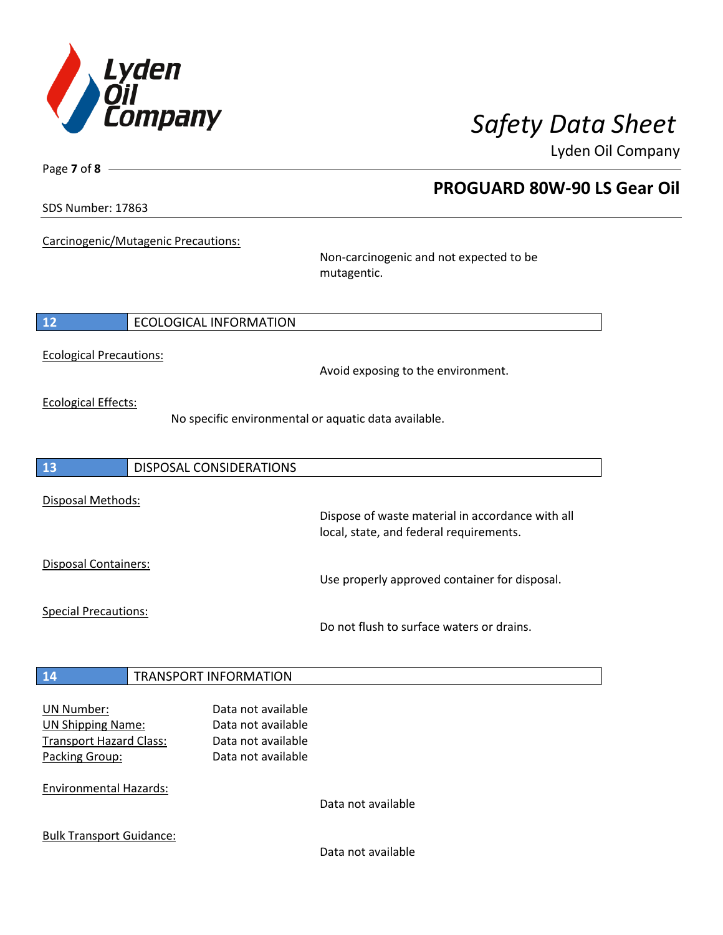

**PROGUARD 80W-90 LS Gear Oil**

Lyden Oil Company

SDS Number: 17863

Page **7** of **8**

Carcinogenic/Mutagenic Precautions:

Non-carcinogenic and not expected to be mutagentic.

## **12** ECOLOGICAL INFORMATION

Ecological Precautions:

Avoid exposing to the environment.

Ecological Effects:

No specific environmental or aquatic data available.

**13** DISPOSAL CONSIDERATIONS Disposal Methods: Dispose of waste material in accordance with all local, state, and federal requirements. Disposal Containers: Use properly approved container for disposal. Special Precautions: Do not flush to surface waters or drains. **14** TRANSPORT INFORMATION UN Number: Data not available UN Shipping Name: Data not available Transport Hazard Class: Data not available Packing Group: Data not available

Environmental Hazards:

Data not available

Bulk Transport Guidance:

Data not available